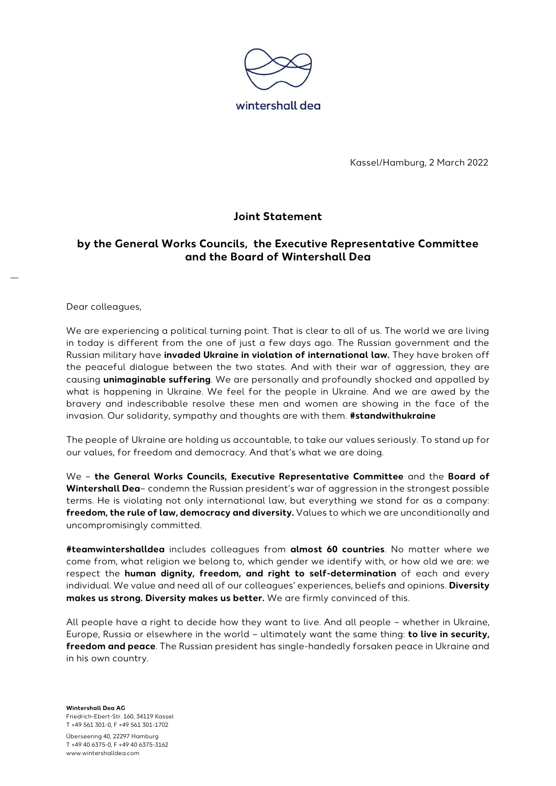

Kassel/Hamburg, 2 March 2022

## **Joint Statement**

## **by the General Works Councils, the Executive Representative Committee and the Board of Wintershall Dea**

Dear colleagues,

We are experiencing a political turning point. That is clear to all of us. The world we are living in today is different from the one of just a few days ago. The Russian government and the Russian military have **invaded Ukraine in violation of international law.** They have broken off the peaceful dialogue between the two states. And with their war of aggression, they are causing **unimaginable suffering**. We are personally and profoundly shocked and appalled by what is happening in Ukraine. We feel for the people in Ukraine. And we are awed by the bravery and indescribable resolve these men and women are showing in the face of the invasion. Our solidarity, sympathy and thoughts are with them. **#standwithukraine**

The people of Ukraine are holding us accountable, to take our values seriously. To stand up for our values, for freedom and democracy. And that's what we are doing.

We – **the General Works Councils, Executive Representative Committee** and the **Board of Wintershall Dea**– condemn the Russian president's war of aggression in the strongest possible terms. He is violating not only international law, but everything we stand for as a company: **freedom, the rule of law, democracy and diversity.** Values to which we are unconditionally and uncompromisingly committed.

**#teamwintershalldea** includes colleagues from **almost 60 countries**. No matter where we come from, what religion we belong to, which gender we identify with, or how old we are: we respect the **human dignity, freedom, and right to self-determination** of each and every individual. We value and need all of our colleagues' experiences, beliefs and opinions. **Diversity makes us strong. Diversity makes us better.** We are firmly convinced of this.

All people have a right to decide how they want to live. And all people – whether in Ukraine, Europe, Russia or elsewhere in the world – ultimately want the same thing: **to live in security, freedom and peace**. The Russian president has single-handedly forsaken peace in Ukraine and in his own country.

**Wintershall Dea AG** Friedrich-Ebert-Str. 160, 34119 Kassel T +49 561 301-0, F +49 561 301-1702

Überseering 40, 22297 Hamburg T +49 40 6375-0, F +49 40 6375-3162 www.wintershalldea.com